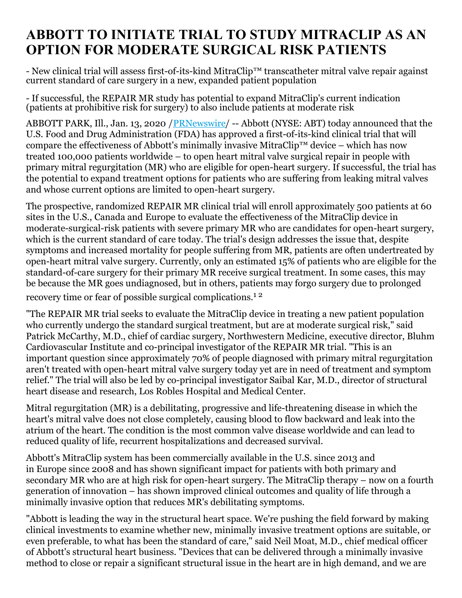## **ABBOTT TO INITIATE TRIAL TO STUDY MITRACLIP AS AN OPTION FOR MODERATE SURGICAL RISK PATIENTS**

- New clinical trial will assess first-of-its-kind MitraClip™ transcatheter mitral valve repair against current standard of care surgery in a new, expanded patient population

- If successful, the REPAIR MR study has potential to expand MitraClip's current indication (patients at prohibitive risk for surgery) to also include patients at moderate risk

ABBOTT PARK, Ill., Jan. 13, 2020 / PRNewswire/ -- Abbott (NYSE: ABT) today announced that the U.S. Food and Drug Administration (FDA) has approved a first-of-its-kind clinical trial that will compare the effectiveness of Abbott's minimally invasive MitraClip™ device – which has now treated 100,000 patients worldwide – to open heart mitral valve surgical repair in people with primary mitral regurgitation (MR) who are eligible for open-heart surgery. If successful, the trial has the potential to expand treatment options for patients who are suffering from leaking mitral valves and whose current options are limited to open-heart surgery.

The prospective, randomized REPAIR MR clinical trial will enroll approximately 500 patients at 60 sites in the U.S., Canada and Europe to evaluate the effectiveness of the MitraClip device in moderate-surgical-risk patients with severe primary MR who are candidates for open-heart surgery, which is the current standard of care today. The trial's design addresses the issue that, despite symptoms and increased mortality for people suffering from MR, patients are often undertreated by open-heart mitral valve surgery. Currently, only an estimated 15% of patients who are eligible for the standard-of-care surgery for their primary MR receive surgical treatment. In some cases, this may be because the MR goes undiagnosed, but in others, patients may forgo surgery due to prolonged

recovery time or fear of possible surgical complications.<sup>12</sup>

"The REPAIR MR trial seeks to evaluate the MitraClip device in treating a new patient population who currently undergo the standard surgical treatment, but are at moderate surgical risk," said Patrick McCarthy, M.D., chief of cardiac surgery, Northwestern Medicine, executive director, Bluhm Cardiovascular Institute and co-principal investigator of the REPAIR MR trial. "This is an important question since approximately 70% of people diagnosed with primary mitral regurgitation aren't treated with open-heart mitral valve surgery today yet are in need of treatment and symptom relief." The trial will also be led by co-principal investigator Saibal Kar, M.D., director of structural heart disease and research, Los Robles Hospital and Medical Center.

Mitral regurgitation (MR) is a debilitating, progressive and life-threatening disease in which the heart's mitral valve does not close completely, causing blood to flow backward and leak into the atrium of the heart. The condition is the most common valve disease worldwide and can lead to reduced quality of life, recurrent hospitalizations and decreased survival.

Abbott's MitraClip system has been commercially available in the U.S. since 2013 and in Europe since 2008 and has shown significant impact for patients with both primary and secondary MR who are at high risk for open-heart surgery. The MitraClip therapy – now on a fourth generation of innovation – has shown improved clinical outcomes and quality of life through a minimally invasive option that reduces MR's debilitating symptoms.

"Abbott is leading the way in the structural heart space. We're pushing the field forward by making clinical investments to examine whether new, minimally invasive treatment options are suitable, or even preferable, to what has been the standard of care," said Neil Moat, M.D., chief medical officer of Abbott's structural heart business. "Devices that can be delivered through a minimally invasive method to close or repair a significant structural issue in the heart are in high demand, and we are